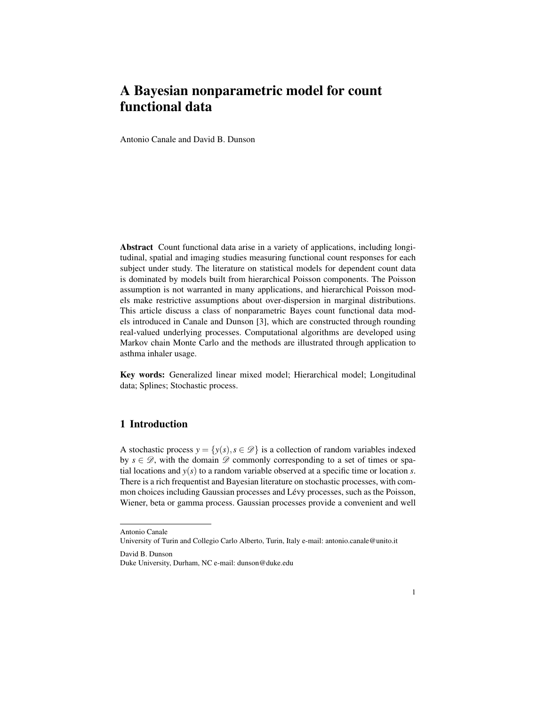# A Bayesian nonparametric model for count functional data

Antonio Canale and David B. Dunson

Abstract Count functional data arise in a variety of applications, including longitudinal, spatial and imaging studies measuring functional count responses for each subject under study. The literature on statistical models for dependent count data is dominated by models built from hierarchical Poisson components. The Poisson assumption is not warranted in many applications, and hierarchical Poisson models make restrictive assumptions about over-dispersion in marginal distributions. This article discuss a class of nonparametric Bayes count functional data models introduced in Canale and Dunson [3], which are constructed through rounding real-valued underlying processes. Computational algorithms are developed using Markov chain Monte Carlo and the methods are illustrated through application to asthma inhaler usage.

Key words: Generalized linear mixed model; Hierarchical model; Longitudinal data; Splines; Stochastic process.

## 1 Introduction

A stochastic process  $y = \{y(s), s \in \mathcal{D}\}\$ is a collection of random variables indexed by  $s \in \mathcal{D}$ , with the domain  $\mathcal D$  commonly corresponding to a set of times or spatial locations and  $y(s)$  to a random variable observed at a specific time or location *s*. There is a rich frequentist and Bayesian literature on stochastic processes, with common choices including Gaussian processes and Lévy processes, such as the Poisson, Wiener, beta or gamma process. Gaussian processes provide a convenient and well

Antonio Canale

University of Turin and Collegio Carlo Alberto, Turin, Italy e-mail: antonio.canale@unito.it

David B. Dunson

Duke University, Durham, NC e-mail: dunson@duke.edu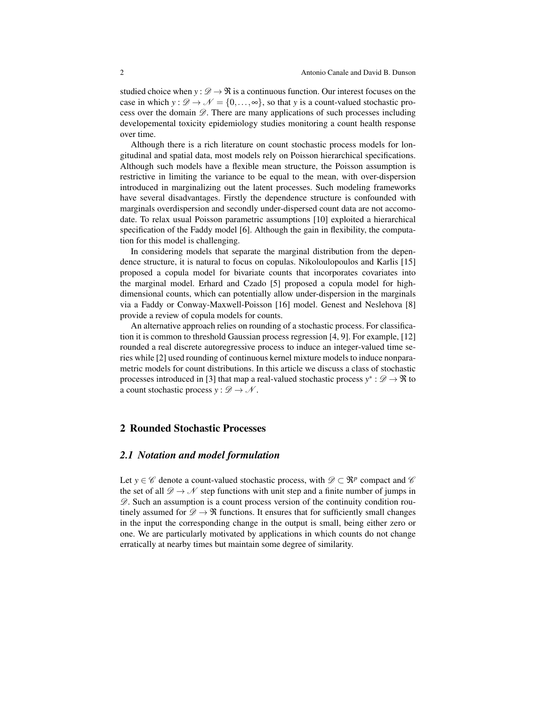studied choice when  $y : \mathcal{D} \to \mathcal{R}$  is a continuous function. Our interest focuses on the case in which  $y : \mathcal{D} \to \mathcal{N} = \{0, \ldots, \infty\}$ , so that *y* is a count-valued stochastic process over the domain  $\mathscr{D}$ . There are many applications of such processes including developemental toxicity epidemiology studies monitoring a count health response over time.

Although there is a rich literature on count stochastic process models for longitudinal and spatial data, most models rely on Poisson hierarchical specifications. Although such models have a flexible mean structure, the Poisson assumption is restrictive in limiting the variance to be equal to the mean, with over-dispersion introduced in marginalizing out the latent processes. Such modeling frameworks have several disadvantages. Firstly the dependence structure is confounded with marginals overdispersion and secondly under-dispersed count data are not accomodate. To relax usual Poisson parametric assumptions [10] exploited a hierarchical specification of the Faddy model [6]. Although the gain in flexibility, the computation for this model is challenging.

In considering models that separate the marginal distribution from the dependence structure, it is natural to focus on copulas. Nikoloulopoulos and Karlis [15] proposed a copula model for bivariate counts that incorporates covariates into the marginal model. Erhard and Czado [5] proposed a copula model for highdimensional counts, which can potentially allow under-dispersion in the marginals via a Faddy or Conway-Maxwell-Poisson [16] model. Genest and Neslehova [8] provide a review of copula models for counts.

An alternative approach relies on rounding of a stochastic process. For classification it is common to threshold Gaussian process regression [4, 9]. For example, [12] rounded a real discrete autoregressive process to induce an integer-valued time series while [2] used rounding of continuous kernel mixture models to induce nonparametric models for count distributions. In this article we discuss a class of stochastic processes introduced in [3] that map a real-valued stochastic process  $y^* : \mathscr{D} \to \mathfrak{R}$  to a count stochastic process  $y : \mathscr{D} \to \mathscr{N}$ .

#### 2 Rounded Stochastic Processes

### *2.1 Notation and model formulation*

Let  $y \in \mathscr{C}$  denote a count-valued stochastic process, with  $\mathscr{D} \subset \mathbb{R}^p$  compact and  $\mathscr{C}$ the set of all  $\mathscr{D} \to \mathscr{N}$  step functions with unit step and a finite number of jumps in  $\mathscr{D}$ . Such an assumption is a count process version of the continuity condition routinely assumed for  $\mathcal{D} \to \mathcal{R}$  functions. It ensures that for sufficiently small changes in the input the corresponding change in the output is small, being either zero or one. We are particularly motivated by applications in which counts do not change erratically at nearby times but maintain some degree of similarity.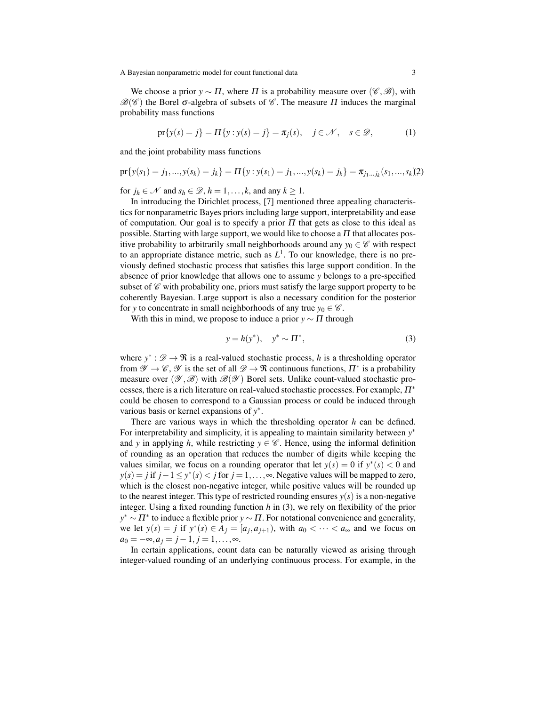A Bayesian nonparametric model for count functional data 3

We choose a prior  $y \sim \Pi$ , where  $\Pi$  is a probability measure over ( $\mathscr{C}, \mathscr{B}$ ), with  $\mathscr{B}(\mathscr{C})$  the Borel  $\sigma$ -algebra of subsets of  $\mathscr{C}$ . The measure  $\Pi$  induces the marginal probability mass functions

$$
\text{pr}\{y(s) = j\} = \Pi\{y : y(s) = j\} = \pi_j(s), \quad j \in \mathcal{N}, \quad s \in \mathcal{D},
$$
 (1)

and the joint probability mass functions

$$
\text{pr}\{y(s_1) = j_1, ..., y(s_k) = j_k\} = \Pi\{y : y(s_1) = j_1, ..., y(s_k) = j_k\} = \pi_{j_1...j_k}(s_1,...,s_k)\}
$$

for  $j_h \in \mathcal{N}$  and  $s_h \in \mathcal{D}$ ,  $h = 1, \ldots, k$ , and any  $k \ge 1$ .

In introducing the Dirichlet process, [7] mentioned three appealing characteristics for nonparametric Bayes priors including large support, interpretability and ease of computation. Our goal is to specify a prior  $\Pi$  that gets as close to this ideal as possible. Starting with large support, we would like to choose a  $\Pi$  that allocates positive probability to arbitrarily small neighborhoods around any  $y_0 \in \mathscr{C}$  with respect to an appropriate distance metric, such as  $L<sup>1</sup>$ . To our knowledge, there is no previously defined stochastic process that satisfies this large support condition. In the absence of prior knowledge that allows one to assume *y* belongs to a pre-specified subset of  $\mathscr C$  with probability one, priors must satisfy the large support property to be coherently Bayesian. Large support is also a necessary condition for the posterior for *y* to concentrate in small neighborhoods of any true  $y_0 \in \mathscr{C}$ .

With this in mind, we propose to induce a prior  $y \sim \Pi$  through

$$
y = h(y^*), y^* \sim \Pi^*,
$$
 (3)

where  $y^* : \mathcal{D} \to \mathbb{R}$  is a real-valued stochastic process, *h* is a thresholding operator from  $\mathscr{Y} \to \mathscr{C}, \mathscr{Y}$  is the set of all  $\mathscr{D} \to \mathfrak{R}$  continuous functions,  $\Pi^*$  is a probability measure over  $(\mathscr{Y}, \mathscr{B})$  with  $\mathscr{B}(\mathscr{Y})$  Borel sets. Unlike count-valued stochastic processes, there is a rich literature on real-valued stochastic processes. For example,  $\Pi^*$ could be chosen to correspond to a Gaussian process or could be induced through various basis or kernel expansions of *y* ∗ .

There are various ways in which the thresholding operator *h* can be defined. For interpretability and simplicity, it is appealing to maintain similarity between *y* ∗ and *y* in applying *h*, while restricting  $y \in \mathscr{C}$ . Hence, using the informal definition of rounding as an operation that reduces the number of digits while keeping the values similar, we focus on a rounding operator that let  $y(s) = 0$  if  $y^*(s) < 0$  and *y*(*s*) = *j* if *j* − 1 ≤ *y*<sup>\*</sup>(*s*) < *j* for *j* = 1, ..., ∞. Negative values will be mapped to zero, which is the closest non-negative integer, while positive values will be rounded up to the nearest integer. This type of restricted rounding ensures  $y(s)$  is a non-negative integer. Using a fixed rounding function *h* in (3), we rely on flexibility of the prior *y*<sup>∗</sup> ∼  $\Pi$ <sup>∗</sup> to induce a flexible prior *y* ∼  $\Pi$ . For notational convenience and generality, we let  $y(s) = j$  if  $y^*(s) \in A_j = [a_j, a_{j+1})$ , with  $a_0 < \cdots < a_{\infty}$  and we focus on  $a_0 = -\infty, a_j = j - 1, j = 1, \ldots, \infty$ .

In certain applications, count data can be naturally viewed as arising through integer-valued rounding of an underlying continuous process. For example, in the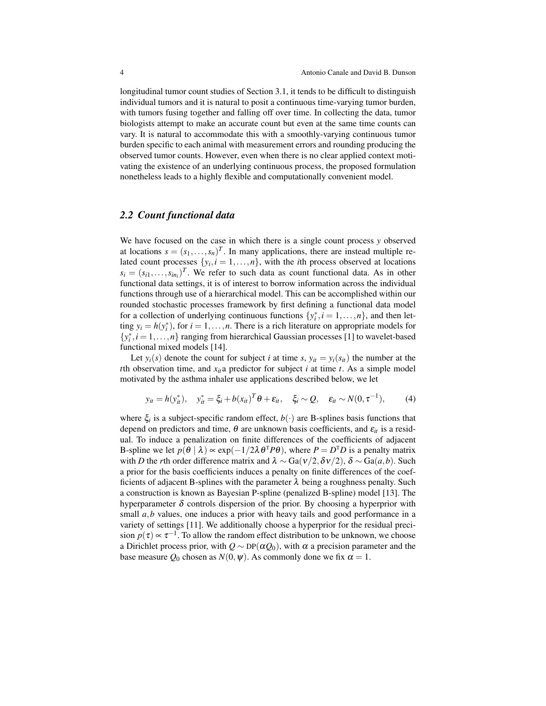longitudinal tumor count studies of Section 3.1, it tends to be difficult to distinguish individual tumors and it is natural to posit a continuous time-varying tumor burden, with tumors fusing together and falling off over time. In collecting the data, tumor biologists attempt to make an accurate count but even at the same time counts can vary. It is natural to accommodate this with a smoothly-varying continuous tumor burden specific to each animal with measurement errors and rounding producing the observed tumor counts. However, even when there is no clear applied context motivating the existence of an underlying continuous process, the proposed formulation nonetheless leads to a highly flexible and computationally convenient model.

#### *2.2 Count functional data*

We have focused on the case in which there is a single count process *y* observed at locations  $s = (s_1, \ldots, s_n)^T$ . In many applications, there are instead multiple related count processes  $\{y_i, i = 1, \ldots, n\}$ , with the *i*th process observed at locations  $s_i = (s_{i1}, \ldots, s_{in_i})^T$ . We refer to such data as count functional data. As in other functional data settings, it is of interest to borrow information across the individual functions through use of a hierarchical model. This can be accomplished within our rounded stochastic processes framework by first defining a functional data model for a collection of underlying continuous functions  $\{y_i^*, i = 1, \ldots, n\}$ , and then letting  $y_i = h(y_i^*)$ , for  $i = 1, ..., n$ . There is a rich literature on appropriate models for  $\{y_i^*, i = 1, \ldots, n\}$  ranging from hierarchical Gaussian processes [1] to wavelet-based functional mixed models [14].

Let  $y_i(s)$  denote the count for subject *i* at time *s*,  $y_{it} = y_i(s_{it})$  the number at the *t*th observation time, and  $x_{it}$  a predictor for subject *i* at time *t*. As a simple model motivated by the asthma inhaler use applications described below, we let

$$
y_{it} = h(y_{it}^*), \quad y_{it}^* = \xi_i + b(x_{it})^T \theta + \varepsilon_{it}, \quad \xi_i \sim Q, \quad \varepsilon_{it} \sim N(0, \tau^{-1}), \tag{4}
$$

where  $\xi$ <sup>*i*</sup> is a subject-specific random effect,  $b(\cdot)$  are B-splines basis functions that depend on predictors and time,  $\theta$  are unknown basis coefficients, and  $\varepsilon_{it}$  is a residual. To induce a penalization on finite differences of the coefficients of adjacent B-spline we let  $p(\theta | \lambda) \propto \exp(-1/2\lambda \theta^T P \theta)$ , where  $P = D^T D$  is a penalty matrix with *D* the *r*th order difference matrix and  $\lambda \sim Ga(v/2, \delta v/2), \delta \sim Ga(a, b)$ . Such a prior for the basis coefficients induces a penalty on finite differences of the coefficients of adjacent B-splines with the parameter  $\lambda$  being a roughness penalty. Such a construction is known as Bayesian P-spline (penalized B-spline) model [13]. The hyperparameter  $\delta$  controls dispersion of the prior. By choosing a hyperprior with small *a*,*b* values, one induces a prior with heavy tails and good performance in a variety of settings [11]. We additionally choose a hyperprior for the residual precision  $p(\tau) \propto \tau^{-1}$ . To allow the random effect distribution to be unknown, we choose a Dirichlet process prior, with  $Q \sim DP(\alpha Q_0)$ , with  $\alpha$  a precision parameter and the base measure  $Q_0$  chosen as  $N(0, \psi)$ . As commonly done we fix  $\alpha = 1$ .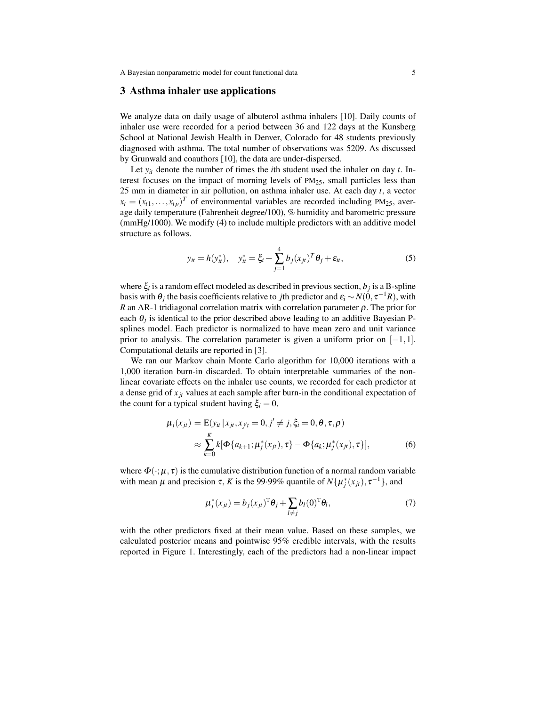#### 3 Asthma inhaler use applications

We analyze data on daily usage of albuterol asthma inhalers [10]. Daily counts of inhaler use were recorded for a period between 36 and 122 days at the Kunsberg School at National Jewish Health in Denver, Colorado for 48 students previously diagnosed with asthma. The total number of observations was 5209. As discussed by Grunwald and coauthors [10], the data are under-dispersed.

Let  $y_{it}$  denote the number of times the *i*th student used the inhaler on day  $t$ . Interest focuses on the impact of morning levels of  $PM<sub>25</sub>$ , small particles less than 25 mm in diameter in air pollution, on asthma inhaler use. At each day *t*, a vector  $x_t = (x_{t1}, \dots, x_{tp})^T$  of environmental variables are recorded including PM<sub>25</sub>, average daily temperature (Fahrenheit degree/100), % humidity and barometric pressure (mmHg/1000). We modify (4) to include multiple predictors with an additive model structure as follows.

$$
y_{it} = h(y_{it}^*), \quad y_{it}^* = \xi_i + \sum_{j=1}^4 b_j (x_{jt})^T \theta_j + \varepsilon_{it},
$$
 (5)

where ξ*<sup>i</sup>* is a random effect modeled as described in previous section, *b<sup>j</sup>* is a B-spline basis with  $\theta_j$  the basis coefficients relative to *j*th predictor and  $\varepsilon_i \sim N(0,\tau^{-1}R)$ , with *R* an AR-1 tridiagonal correlation matrix with correlation parameter  $\rho$ . The prior for each  $\theta_j$  is identical to the prior described above leading to an additive Bayesian Psplines model. Each predictor is normalized to have mean zero and unit variance prior to analysis. The correlation parameter is given a uniform prior on  $[-1,1]$ . Computational details are reported in [3].

We ran our Markov chain Monte Carlo algorithm for 10,000 iterations with a 1,000 iteration burn-in discarded. To obtain interpretable summaries of the nonlinear covariate effects on the inhaler use counts, we recorded for each predictor at a dense grid of  $x_{it}$  values at each sample after burn-in the conditional expectation of the count for a typical student having  $\xi_i = 0$ ,

$$
\mu_j(x_{jt}) = \mathcal{E}(y_{it} | x_{jt}, x_{j't} = 0, j' \neq j, \xi_i = 0, \theta, \tau, \rho)
$$
  
 
$$
\approx \sum_{k=0}^K k[\Phi\{a_{k+1}; \mu_j^*(x_{jt}), \tau\} - \Phi\{a_k; \mu_j^*(x_{jt}), \tau\}], \tag{6}
$$

where  $\Phi(\cdot;\mu,\tau)$  is the cumulative distribution function of a normal random variable with mean  $\mu$  and precision  $\tau$ , *K* is the 99.99% quantile of  $N\{\mu_j^*(x_{jt}), \tau^{-1}\}$ , and

$$
\mu_j^*(x_{jt}) = b_j(x_{jt})^T \theta_j + \sum_{l \neq j} b_l(0)^T \theta_l, \qquad (7)
$$

with the other predictors fixed at their mean value. Based on these samples, we calculated posterior means and pointwise 95% credible intervals, with the results reported in Figure 1. Interestingly, each of the predictors had a non-linear impact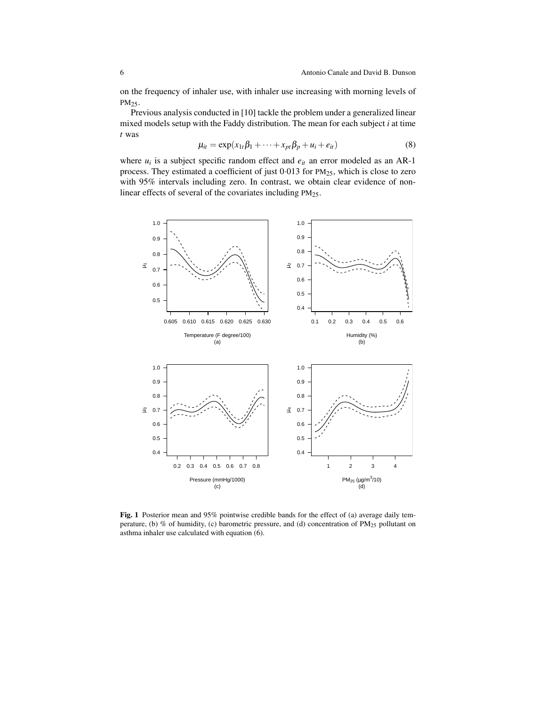on the frequency of inhaler use, with inhaler use increasing with morning levels of PM<sub>25</sub>.

Previous analysis conducted in [10] tackle the problem under a generalized linear mixed models setup with the Faddy distribution. The mean for each subject *i* at time *t* was

$$
\mu_{it} = \exp(x_{1t}\beta_1 + \dots + x_{pt}\beta_p + u_i + e_{it})
$$
\n(8)

where  $u_i$  is a subject specific random effect and  $e_{it}$  an error modeled as an AR-1 process. They estimated a coefficient of just 0·013 for PM25, which is close to zero with 95% intervals including zero. In contrast, we obtain clear evidence of nonlinear effects of several of the covariates including PM25.



Fig. 1 Posterior mean and 95% pointwise credible bands for the effect of (a) average daily temperature, (b) % of humidity, (c) barometric pressure, and (d) concentration of  $PM_{25}$  pollutant on asthma inhaler use calculated with equation (6).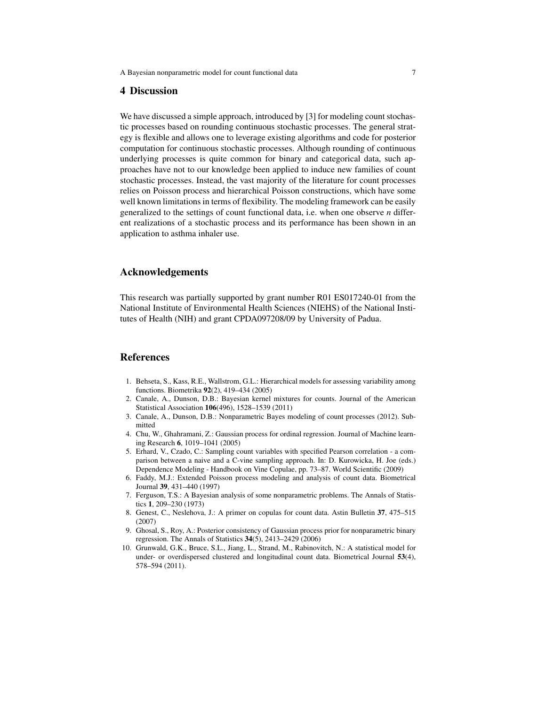#### 4 Discussion

We have discussed a simple approach, introduced by [3] for modeling count stochastic processes based on rounding continuous stochastic processes. The general strategy is flexible and allows one to leverage existing algorithms and code for posterior computation for continuous stochastic processes. Although rounding of continuous underlying processes is quite common for binary and categorical data, such approaches have not to our knowledge been applied to induce new families of count stochastic processes. Instead, the vast majority of the literature for count processes relies on Poisson process and hierarchical Poisson constructions, which have some well known limitations in terms of flexibility. The modeling framework can be easily generalized to the settings of count functional data, i.e. when one observe *n* different realizations of a stochastic process and its performance has been shown in an application to asthma inhaler use.

### Acknowledgements

This research was partially supported by grant number R01 ES017240-01 from the National Institute of Environmental Health Sciences (NIEHS) of the National Institutes of Health (NIH) and grant CPDA097208/09 by University of Padua.

### References

- 1. Behseta, S., Kass, R.E., Wallstrom, G.L.: Hierarchical models for assessing variability among functions. Biometrika 92(2), 419–434 (2005)
- 2. Canale, A., Dunson, D.B.: Bayesian kernel mixtures for counts. Journal of the American Statistical Association 106(496), 1528–1539 (2011)
- 3. Canale, A., Dunson, D.B.: Nonparametric Bayes modeling of count processes (2012). Submitted
- 4. Chu, W., Ghahramani, Z.: Gaussian process for ordinal regression. Journal of Machine learning Research 6, 1019–1041 (2005)
- 5. Erhard, V., Czado, C.: Sampling count variables with specified Pearson correlation a comparison between a naive and a C-vine sampling approach. In: D. Kurowicka, H. Joe (eds.) Dependence Modeling - Handbook on Vine Copulae, pp. 73–87. World Scientific (2009)
- 6. Faddy, M.J.: Extended Poisson process modeling and analysis of count data. Biometrical Journal 39, 431–440 (1997)
- 7. Ferguson, T.S.: A Bayesian analysis of some nonparametric problems. The Annals of Statistics 1, 209–230 (1973)
- 8. Genest, C., Neslehova, J.: A primer on copulas for count data. Astin Bulletin 37, 475–515 (2007)
- 9. Ghosal, S., Roy, A.: Posterior consistency of Gaussian process prior for nonparametric binary regression. The Annals of Statistics 34(5), 2413–2429 (2006)
- 10. Grunwald, G.K., Bruce, S.L., Jiang, L., Strand, M., Rabinovitch, N.: A statistical model for under- or overdispersed clustered and longitudinal count data. Biometrical Journal 53(4), 578–594 (2011).